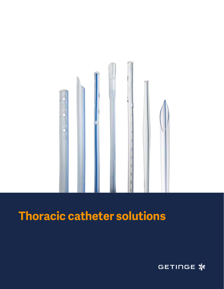

### **Thoracic catheter solutions**

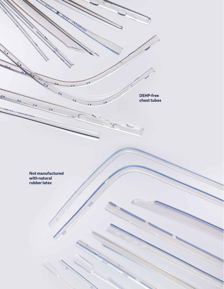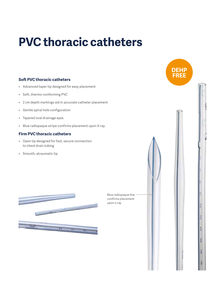## **PVC thoracic catheters**

#### **Soft PVC thoracic catheters**

- Advanced taper tip designed for easy placement
- Soft, thermo-conforming PVC
- 2 cm depth markings aid in accurate catheter placement
- Gentle spiral hole configuration
- Tapered oval drainage eyes
- Blue radiopaque stripe confirms placement upon X-ray

#### **Firm PVC thoracic catheters**

- Open tip designed for fast, secure connection to chest drain tubing
- Smooth, atraumatic tip



Blue radiopaque line confirms placement upon x-ray

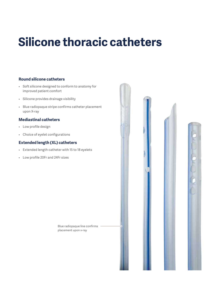# **Silicone thoracic catheters**

#### **Round silicone catheters**

- Soft silicone designed to conform to anatomy for improved patient comfort
- Silicone provides drainage visibility
- Blue radiopaque stripe confirms catheter placement upon X-ray

#### **Mediastinal catheters**

- Low profile design
- Choice of eyelet configurations

#### **Extended length (XL) catheters**

- Extended length catheter with 15 to 18 eyelets
- Low profile 20Fr and 24Fr sizes

Blue radiopaque line confirms placement upon x-ray

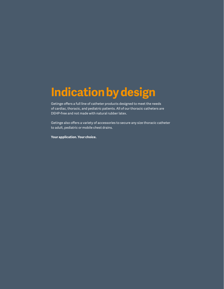# **Indication by design**

Getinge offers a full line of catheter products designed to meet the needs of cardiac, thoracic, and pediatric patients. All of our thoracic catheters are DEHP-free and not made with natural rubber latex.

Getinge also offers a variety of accessories to secure any size thoracic catheter to adult, pediatric or mobile chest drains.

**Your application. Your choice.**